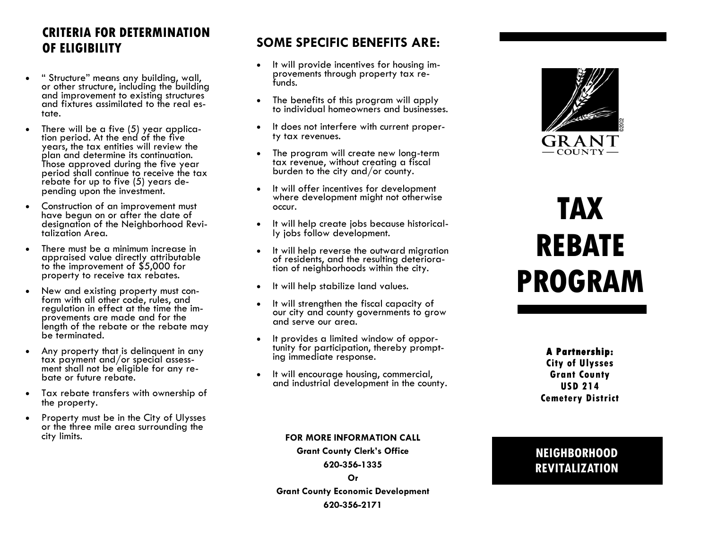# **CRITERIA FOR DETERMINATION OF ELIGIBILITY**

- " Structure" means any building, wall, or other structure, including the building and improvement to existing structures and fixtures assimilated to the real estate.
- There will be a five (5) year application period. At the end of the five years, the tax entities will review the plan and determine its continuation. Those approved during the five year period shall continue to receive the tax rebate for up to five (5) years depending upon the investment.
- Construction of an improvement must have begun on or after the date of designation of the Neighborhood Revitalization Area.
- There must be a minimum increase in appraised value directly attributable to the improvement of \$5,000 for property to receive tax rebates.
- New and existing property must conform with all other code, rules, and regulation in effect at the time the improvements are made and for the length of the rebate or the rebate may be terminated.
- Any property that is delinquent in any tax payment and/or special assessment shall not be eligible for any rebate or future rebate.
- Tax rebate transfers with ownership of the property.
- Property must be in the City of Ulysses or the three mile area surrounding the city limits.

## **SOME SPECIFIC BENEFITS ARE:**

- It will provide incentives for housing improvements through property tax refunds.
- The benefits of this program will apply to individual homeowners and businesses.
- It does not interfere with current property tax revenues.
- The program will create new long-term tax revenue, without creating a fiscal burden to the city and/or county.
- It will offer incentives for development where development might not otherwise occur.
- It will help create jobs because historically jobs follow development.
- It will help reverse the outward migration of residents, and the resulting deterioration of neighborhoods within the city.
- It will help stabilize land values.
- It will strengthen the fiscal capacity of our city and county governments to grow and serve our area.
- It provides a limited window of opportunity for participation, thereby prompting immediate response.
- It will encourage housing, commercial, and industrial development in the county.



# **TAX REBATE PROGRAM**

**A Partnership: City of Ulysses Grant County USD 214 Cemetery District**

#### **FOR MORE INFORMATION CALL**

**Grant County Clerk's Office 620-356-1335**

**Or** 

**Grant County Economic Development 620-356-2171**

### **NEIGHBORHOOD REVITALIZATION**